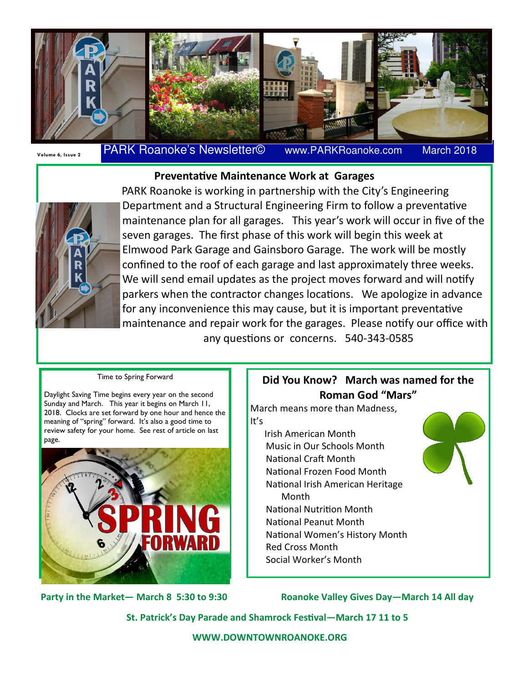

# Volume 6, Issue 2 **PARK Roanoke's Newsletter©** www.PARKRoanoke.com

March 2018

## Preventative Maintenance Work at Garages



 PARK Roanoke is working in partnership with the City's Engineering Department and a Structural Engineering Firm to follow a preventative maintenance plan for all garages. This year's work will occur in five of the seven garages. The first phase of this work will begin this week at Elmwood Park Garage and Gainsboro Garage. The work will be mostly confined to the roof of each garage and last approximately three weeks. We will send email updates as the project moves forward and will notify parkers when the contractor changes locations. We apologize in advance for any inconvenience this may cause, but it is important preventative maintenance and repair work for the garages. Please notify our office with any questions or concerns. 540-343-0585

#### Time to Spring Forward

Daylight Saving Time begins every year on the second Sunday and March. This year it begins on March 11, 2018. Clocks are set forward by one hour and hence the meaning of "spring" forward. It's also a good time to review safety for your home. See rest of article on last page.



Did You Know? March was named for the Roman God "Mars"

March means more than Madness, It's Irish American Month Music in Our Schools Month National Craft Month National Frozen Food Month National Irish American Heritage Month National Nutrition Month National Peanut Month National Women's History Month Red Cross Month Social Worker's Month

Party in the Market— March 8 5:30 to 9:30 Koanoke Valley Gives Day—March 14 All day

St. Patrick's Day Parade and Shamrock Festival-March 17 11 to 5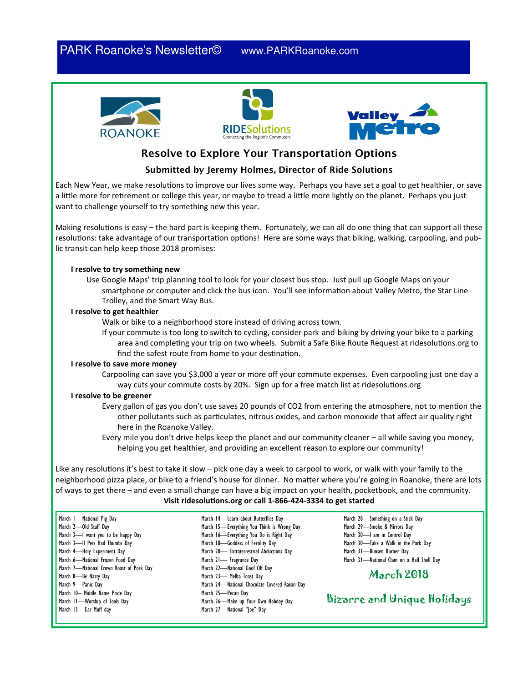## PARK Roanoke's Newsletter© www.PARKRoanoke.com







## Resolve to Explore Your Transportation Options

#### Submitted by Jeremy Holmes, Director of Ride Solutions

Each New Year, we make resolutions to improve our lives some way. Perhaps you have set a goal to get healthier, or save a little more for retirement or college this year, or maybe to tread a little more lightly on the planet. Perhaps you just want to challenge yourself to try something new this year.

Making resolutions is easy – the hard part is keeping them. Fortunately, we can all do one thing that can support all these resolutions: take advantage of our transportation options! Here are some ways that biking, walking, carpooling, and public transit can help keep those 2018 promises:

#### I resolve to try something new

Use Google Maps' trip planning tool to look for your closest bus stop. Just pull up Google Maps on your smartphone or computer and click the bus icon. You'll see information about Valley Metro, the Star Line Trolley, and the Smart Way Bus.

#### I resolve to get healthier

Walk or bike to a neighborhood store instead of driving across town.

If your commute is too long to switch to cycling, consider park-and-biking by driving your bike to a parking area and completing your trip on two wheels. Submit a Safe Bike Route Request at ridesolutions.org to find the safest route from home to your destination.

#### I resolve to save more money

Carpooling can save you \$3,000 a year or more off your commute expenses. Even carpooling just one day a way cuts your commute costs by 20%. Sign up for a free match list at ridesolutions.org

#### I resolve to be greener

- Every gallon of gas you don't use saves 20 pounds of CO2 from entering the atmosphere, not to mention the other pollutants such as particulates, nitrous oxides, and carbon monoxide that affect air quality right here in the Roanoke Valley.
- Every mile you don't drive helps keep the planet and our community cleaner all while saving you money, helping you get healthier, and providing an excellent reason to explore our community!

Like any resolutions it's best to take it slow – pick one day a week to carpool to work, or walk with your family to the neighborhood pizza place, or bike to a friend's house for dinner. No matter where you're going in Roanoke, there are lots of ways to get there – and even a small change can have a big impact on your health, pocketbook, and the community.

#### Visit ridesolutions.org or call 1-866-424-3334 to get started

| March I-National Pig Day                 |
|------------------------------------------|
| March 2-Old Stuff Day                    |
| March 3-I want you to be happy Day       |
| March 3-If Pets Had Thumbs Day           |
| March 4-Holy Experiment Day              |
| March 6-National Frozen Food Day         |
| March 7-Rational Crown Roast of Pork Day |
| March 8-Be Nasty Day                     |
| March 9-Panic Day                        |
| March 10- Middle Name Pride Day          |
| March 11-Worship of Tools Day            |
| March 13-Ear Muff day                    |

March 14—Learn about Butterflies Day March 15—Everything You Think is Wrong Day March 16—Everything You Do is Right Day March 18—Goddess of Fertility Day March 20— Extraterrestrial Abductions Day March 21- Fragrance Day March 22—National Goof Off Day March 23— Melba Toast Day March 24—National Chocolate Covered Raisin Day March 25—Pecan Day March 26—Make up Your Own Holiday Day March 27—National "Joe" Day

March 28—Something on a Stick Day March 29—Smoke & Mirrors Day March 30—I am in Control Day March 30—Take a Walk in the Park Day March 31—Bunsen Burner Day March 31—National Clam on a Half Shell Day

## March 2018

Bizarre and Unique Holidays